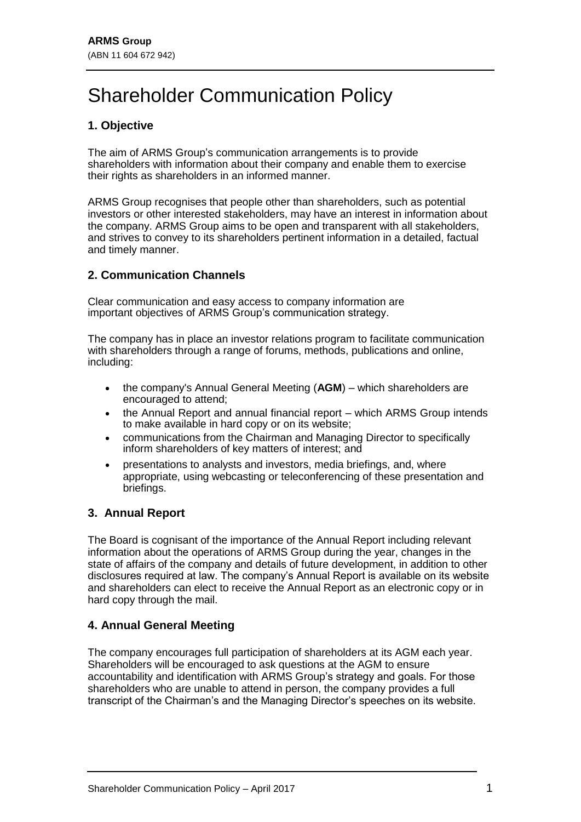# Shareholder Communication Policy

## **1. Objective**

The aim of ARMS Group's communication arrangements is to provide shareholders with information about their company and enable them to exercise their rights as shareholders in an informed manner.

ARMS Group recognises that people other than shareholders, such as potential investors or other interested stakeholders, may have an interest in information about the company. ARMS Group aims to be open and transparent with all stakeholders, and strives to convey to its shareholders pertinent information in a detailed, factual and timely manner.

### **2. Communication Channels**

Clear communication and easy access to company information are important objectives of ARMS Group's communication strategy.

The company has in place an investor relations program to facilitate communication with shareholders through a range of forums, methods, publications and online, including:

- the company's Annual General Meeting (**AGM**) which shareholders are encouraged to attend;
- the Annual Report and annual financial report which ARMS Group intends to make available in hard copy or on its website;
- communications from the Chairman and Managing Director to specifically inform shareholders of key matters of interest; and
- presentations to analysts and investors, media briefings, and, where appropriate, using webcasting or teleconferencing of these presentation and briefings.

#### **3. Annual Report**

The Board is cognisant of the importance of the Annual Report including relevant information about the operations of ARMS Group during the year, changes in the state of affairs of the company and details of future development, in addition to other disclosures required at law. The company's Annual Report is available on its website and shareholders can elect to receive the Annual Report as an electronic copy or in hard copy through the mail.

#### **4. Annual General Meeting**

The company encourages full participation of shareholders at its AGM each year. Shareholders will be encouraged to ask questions at the AGM to ensure accountability and identification with ARMS Group's strategy and goals. For those shareholders who are unable to attend in person, the company provides a full transcript of the Chairman's and the Managing Director's speeches on its website.